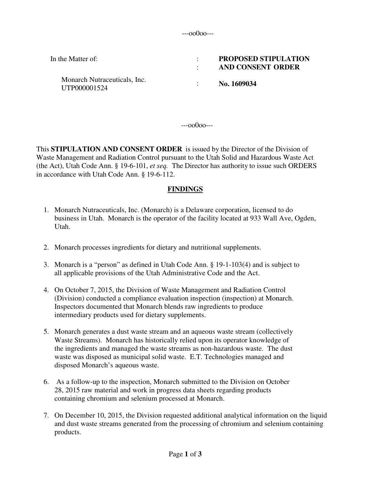---oo0oo---

| In the Matter of:                            | <b>PROPOSED STIPULATION</b><br>AND CONSENT ORDER |  |
|----------------------------------------------|--------------------------------------------------|--|
| Monarch Nutraceuticals, Inc.<br>UTP000001524 | No. 1609034                                      |  |

---oo0oo---

This **STIPULATION AND CONSENT ORDER** is issued by the Director of the Division of Waste Management and Radiation Control pursuant to the Utah Solid and Hazardous Waste Act (the Act), Utah Code Ann. § 19-6-101, *et seq.* The Director has authority to issue such ORDERS in accordance with Utah Code Ann. § 19-6-112.

### **FINDINGS**

- 1. Monarch Nutraceuticals, Inc. (Monarch) is a Delaware corporation, licensed to do business in Utah. Monarch is the operator of the facility located at 933 Wall Ave, Ogden, Utah.
- 2. Monarch processes ingredients for dietary and nutritional supplements.
- 3. Monarch is a "person" as defined in Utah Code Ann. § 19-1-103(4) and is subject to all applicable provisions of the Utah Administrative Code and the Act.
- 4. On October 7, 2015, the Division of Waste Management and Radiation Control (Division) conducted a compliance evaluation inspection (inspection) at Monarch. Inspectors documented that Monarch blends raw ingredients to produce intermediary products used for dietary supplements.
- 5. Monarch generates a dust waste stream and an aqueous waste stream (collectively Waste Streams). Monarch has historically relied upon its operator knowledge of the ingredients and managed the waste streams as non-hazardous waste. The dust waste was disposed as municipal solid waste. E.T. Technologies managed and disposed Monarch's aqueous waste.
- 6. As a follow-up to the inspection, Monarch submitted to the Division on October 28, 2015 raw material and work in progress data sheets regarding products containing chromium and selenium processed at Monarch.
- 7. On December 10, 2015, the Division requested additional analytical information on the liquid and dust waste streams generated from the processing of chromium and selenium containing products.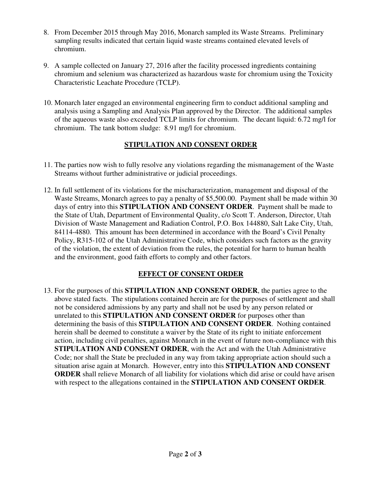- 8. From December 2015 through May 2016, Monarch sampled its Waste Streams. Preliminary sampling results indicated that certain liquid waste streams contained elevated levels of chromium.
- 9. A sample collected on January 27, 2016 after the facility processed ingredients containing chromium and selenium was characterized as hazardous waste for chromium using the Toxicity Characteristic Leachate Procedure (TCLP).
- 10. Monarch later engaged an environmental engineering firm to conduct additional sampling and analysis using a Sampling and Analysis Plan approved by the Director. The additional samples of the aqueous waste also exceeded TCLP limits for chromium. The decant liquid: 6.72 mg/l for chromium. The tank bottom sludge: 8.91 mg/l for chromium.

# **STIPULATION AND CONSENT ORDER**

- 11. The parties now wish to fully resolve any violations regarding the mismanagement of the Waste Streams without further administrative or judicial proceedings.
- 12. In full settlement of its violations for the mischaracterization, management and disposal of the Waste Streams, Monarch agrees to pay a penalty of \$5,500.00. Payment shall be made within 30 days of entry into this **STIPULATION AND CONSENT ORDER**. Payment shall be made to the State of Utah, Department of Environmental Quality, c/o Scott T. Anderson, Director, Utah Division of Waste Management and Radiation Control, P.O. Box 144880, Salt Lake City, Utah, 84114-4880. This amount has been determined in accordance with the Board's Civil Penalty Policy, R315-102 of the Utah Administrative Code, which considers such factors as the gravity of the violation, the extent of deviation from the rules, the potential for harm to human health and the environment, good faith efforts to comply and other factors.

## **EFFECT OF CONSENT ORDER**

13. For the purposes of this **STIPULATION AND CONSENT ORDER**, the parties agree to the above stated facts. The stipulations contained herein are for the purposes of settlement and shall not be considered admissions by any party and shall not be used by any person related or unrelated to this **STIPULATION AND CONSENT ORDER** for purposes other than determining the basis of this **STIPULATION AND CONSENT ORDER**. Nothing contained herein shall be deemed to constitute a waiver by the State of its right to initiate enforcement action, including civil penalties, against Monarch in the event of future non-compliance with this **STIPULATION AND CONSENT ORDER**, with the Act and with the Utah Administrative Code; nor shall the State be precluded in any way from taking appropriate action should such a situation arise again at Monarch. However, entry into this **STIPULATION AND CONSENT ORDER** shall relieve Monarch of all liability for violations which did arise or could have arisen with respect to the allegations contained in the **STIPULATION AND CONSENT ORDER**.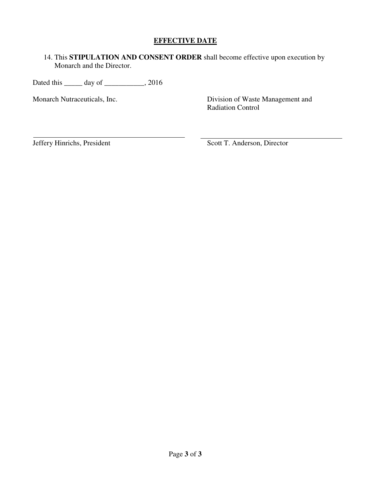### **EFFECTIVE DATE**

14. This **STIPULATION AND CONSENT ORDER** shall become effective upon execution by Monarch and the Director.

Dated this \_\_\_\_\_\_ day of \_\_\_\_\_\_\_\_\_\_, 2016

Monarch Nutraceuticals, Inc. Division of Waste Management and Radiation Control

Jeffery Hinrichs, President Scott T. Anderson, Director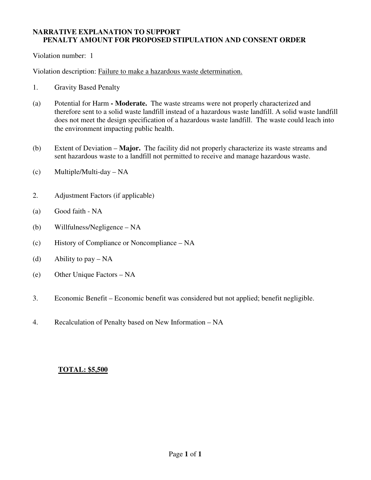#### **NARRATIVE EXPLANATION TO SUPPORT PENALTY AMOUNT FOR PROPOSED STIPULATION AND CONSENT ORDER**

Violation number: 1

Violation description: Failure to make a hazardous waste determination.

- 1. Gravity Based Penalty
- (a) Potential for Harm  **Moderate.** The waste streams were not properly characterized and therefore sent to a solid waste landfill instead of a hazardous waste landfill. A solid waste landfill does not meet the design specification of a hazardous waste landfill. The waste could leach into the environment impacting public health.
- (b) Extent of Deviation **Major.** The facility did not properly characterize its waste streams and sent hazardous waste to a landfill not permitted to receive and manage hazardous waste.
- (c) Multiple/Multi-day NA
- 2. Adjustment Factors (if applicable)
- (a) Good faith NA
- (b) Willfulness/Negligence NA
- (c) History of Compliance or Noncompliance NA
- (d) Ability to pay  $NA$
- (e) Other Unique Factors NA
- 3. Economic Benefit Economic benefit was considered but not applied; benefit negligible.
- 4. Recalculation of Penalty based on New Information NA

#### **TOTAL: \$5,500**